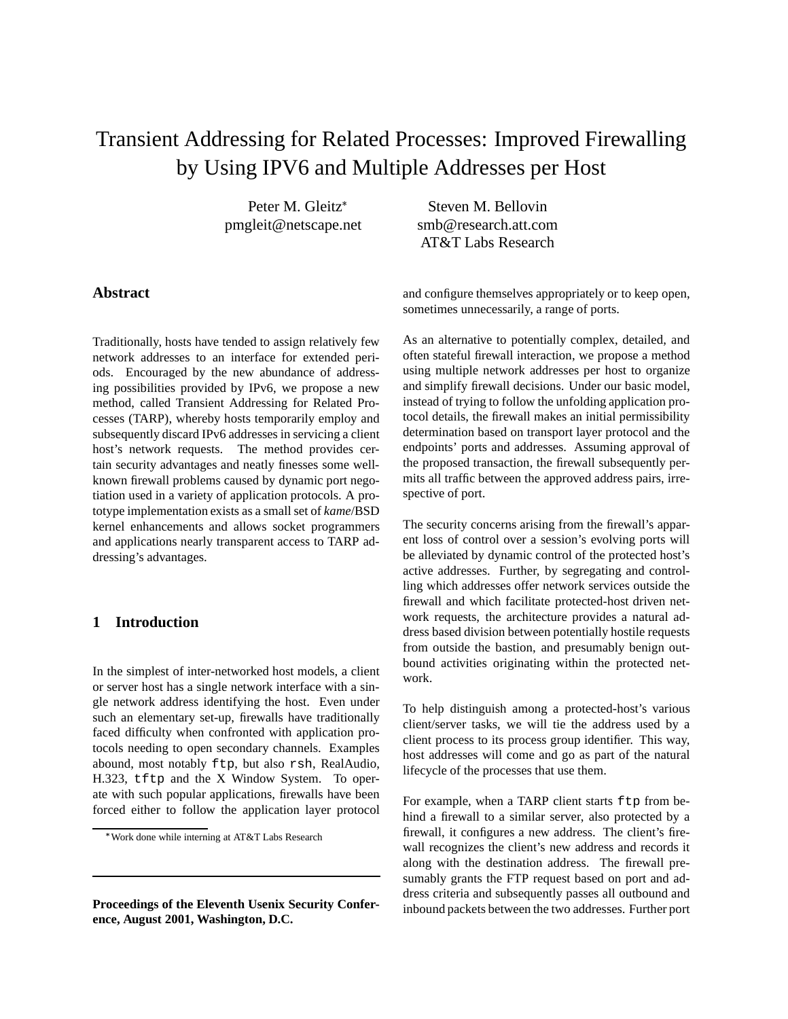# Transient Addressing for Related Processes: Improved Firewalling by Using IPV6 and Multiple Addresses per Host

Peter M. Gleitz pmgleit@netscape.net

Steven M. Bellovin smb@research.att.com AT&T Labs Research

# **Abstract**

Traditionally, hosts have tended to assign relatively few network addresses to an interface for extended periods. Encouraged by the new abundance of addressing possibilities provided by IPv6, we propose a new method, called Transient Addressing for Related Processes (TARP), whereby hosts temporarily employ and subsequently discard IPv6 addresses in servicing a client host's network requests. The method provides certain security advantages and neatly finesses some wellknown firewall problems caused by dynamic port negotiation used in a variety of application protocols. A prototype implementation exists as a small set of *kame*/BSD kernel enhancements and allows socket programmers and applications nearly transparent access to TARP addressing's advantages.

# **1 Introduction**

In the simplest of inter-networked host models, a client or server host has a single network interface with a single network address identifying the host. Even under such an elementary set-up, firewalls have traditionally faced difficulty when confronted with application protocols needing to open secondary channels. Examples abound, most notably ftp, but also rsh, RealAudio, H.323, tftp and the X Window System. To operate with such popular applications, firewalls have been forced either to follow the application layer protocol

and configure themselves appropriately or to keep open, sometimes unnecessarily, a range of ports.

As an alternative to potentially complex, detailed, and often stateful firewall interaction, we propose a method using multiple network addresses per host to organize and simplify firewall decisions. Under our basic model, instead of trying to follow the unfolding application protocol details, the firewall makes an initial permissibility determination based on transport layer protocol and the endpoints' ports and addresses. Assuming approval of the proposed transaction, the firewall subsequently permits all traffic between the approved address pairs, irrespective of port.

The security concerns arising from the firewall's apparent loss of control over a session's evolving ports will be alleviated by dynamic control of the protected host's active addresses. Further, by segregating and controlling which addresses offer network services outside the firewall and which facilitate protected-host driven network requests, the architecture provides a natural address based division between potentially hostile requests from outside the bastion, and presumably benign outbound activities originating within the protected network.

To help distinguish among a protected-host's various client/server tasks, we will tie the address used by a client process to its process group identifier. This way, host addresses will come and go as part of the natural lifecycle of the processes that use them.

For example, when a TARP client starts ftp from behind a firewall to a similar server, also protected by a firewall, it configures a new address. The client's firewall recognizes the client's new address and records it along with the destination address. The firewall presumably grants the FTP request based on port and address criteria and subsequently passes all outbound and inbound packets between the two addresses. Further port

Work done while interning at AT&T Labs Research

**Proceedings of the Eleventh Usenix Security Conference, August 2001, Washington, D.C.**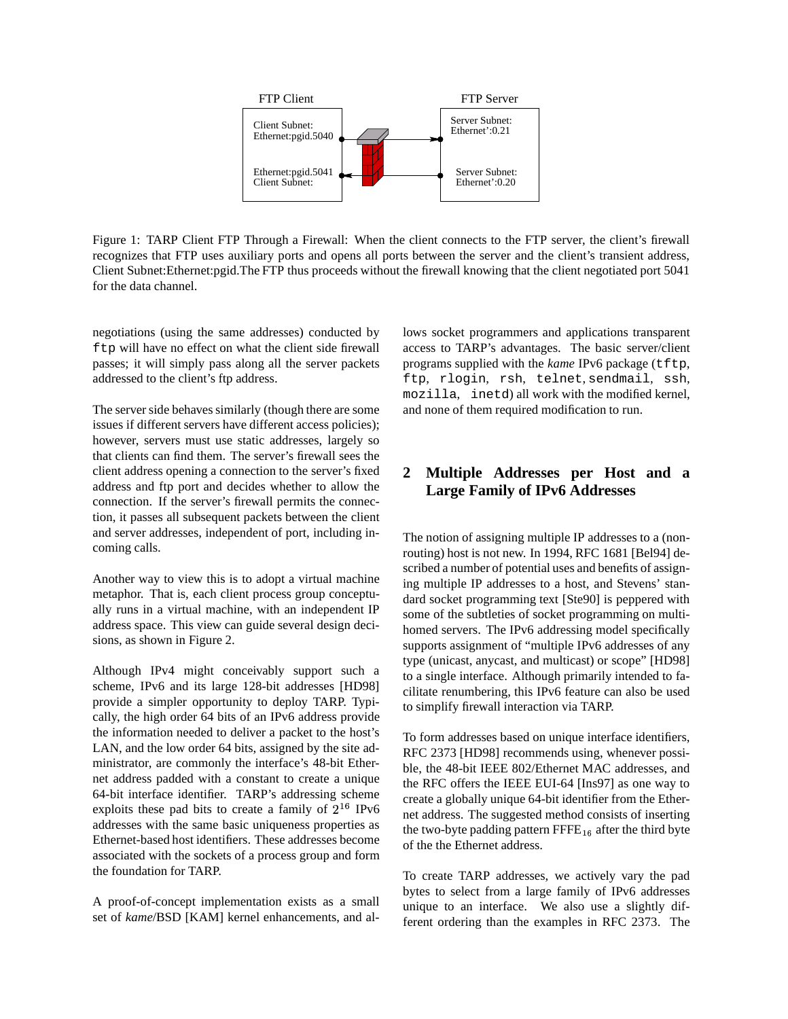

Figure 1: TARP Client FTP Through a Firewall: When the client connects to the FTP server, the client's firewall recognizes that FTP uses auxiliary ports and opens all ports between the server and the client's transient address, Client Subnet:Ethernet:pgid.The FTP thus proceeds without the firewall knowing that the client negotiated port 5041 for the data channel.

negotiations (using the same addresses) conducted by ftp will have no effect on what the client side firewall passes; it will simply pass along all the server packets addressed to the client's ftp address.

The server side behaves similarly (though there are some issues if different servers have different access policies); however, servers must use static addresses, largely so that clients can find them. The server's firewall sees the client address opening a connection to the server's fixed address and ftp port and decides whether to allow the connection. If the server's firewall permits the connection, it passes all subsequent packets between the client and server addresses, independent of port, including incoming calls.

Another way to view this is to adopt a virtual machine metaphor. That is, each client process group conceptually runs in a virtual machine, with an independent IP address space. This view can guide several design decisions, as shown in Figure 2.

Although IPv4 might conceivably support such a scheme, IPv6 and its large 128-bit addresses [HD98] provide a simpler opportunity to deploy TARP. Typically, the high order 64 bits of an IPv6 address provide the information needed to deliver a packet to the host's LAN, and the low order 64 bits, assigned by the site administrator, are commonly the interface's 48-bit Ethernet address padded with a constant to create a unique 64-bit interface identifier. TARP's addressing scheme exploits these pad bits to create a family of  $2^{16}$  IPv6 addresses with the same basic uniqueness properties as Ethernet-based host identifiers. These addresses become associated with the sockets of a process group and form the foundation for TARP.

A proof-of-concept implementation exists as a small set of *kame*/BSD [KAM] kernel enhancements, and allows socket programmers and applications transparent access to TARP's advantages. The basic server/client programs supplied with the *kame* IPv6 package (tftp, ftp, rlogin, rsh, telnet, sendmail, ssh, mozilla, inetd) all work with the modified kernel, and none of them required modification to run.

# **2 Multiple Addresses per Host and a Large Family of IPv6 Addresses**

The notion of assigning multiple IP addresses to a (nonrouting) host is not new. In 1994, RFC 1681 [Bel94] described a number of potential uses and benefits of assigning multiple IP addresses to a host, and Stevens' standard socket programming text [Ste90] is peppered with some of the subtleties of socket programming on multihomed servers. The IPv6 addressing model specifically supports assignment of "multiple IPv6 addresses of any type (unicast, anycast, and multicast) or scope" [HD98] to a single interface. Although primarily intended to facilitate renumbering, this IPv6 feature can also be used to simplify firewall interaction via TARP.

To form addresses based on unique interface identifiers, RFC 2373 [HD98] recommends using, whenever possible, the 48-bit IEEE 802/Ethernet MAC addresses, and the RFC offers the IEEE EUI-64 [Ins97] as one way to create a globally unique 64-bit identifier from the Ethernet address. The suggested method consists of inserting the two-byte padding pattern  $\text{FFFE}_{16}$  after the third byte of the the Ethernet address.

To create TARP addresses, we actively vary the pad bytes to select from a large family of IPv6 addresses unique to an interface. We also use a slightly different ordering than the examples in RFC 2373. The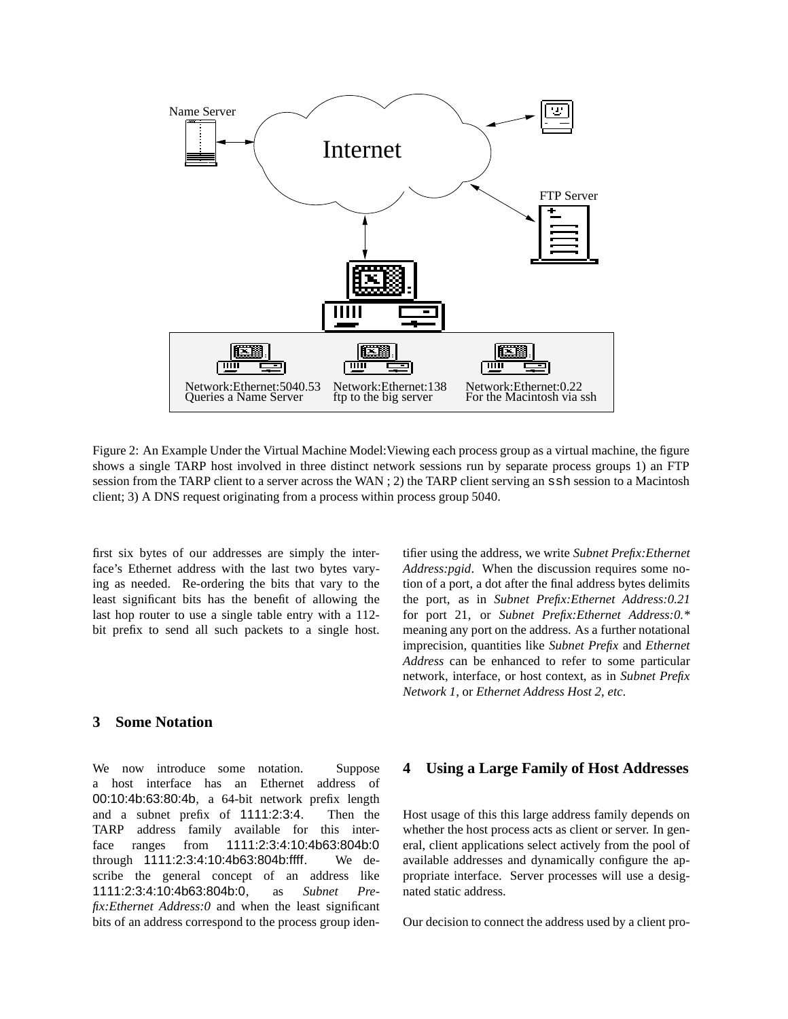

Figure 2: An Example Under the Virtual Machine Model:Viewing each process group as a virtual machine, the figure shows a single TARP host involved in three distinct network sessions run by separate process groups 1) an FTP session from the TARP client to a server across the WAN ; 2) the TARP client serving an ssh session to a Macintosh client; 3) A DNS request originating from a process within process group 5040.

first six bytes of our addresses are simply the interface's Ethernet address with the last two bytes varying as needed. Re-ordering the bits that vary to the least significant bits has the benefit of allowing the last hop router to use a single table entry with a 112 bit prefix to send all such packets to a single host.

## **3 Some Notation**

We now introduce some notation. Suppose a host interface has an Ethernet address of 00:10:4b:63:80:4b, a 64-bit network prefix length and a subnet prefix of 1111:2:3:4. Then the TARP address family available for this interface ranges from 1111:2:3:4:10:4b63:804b:0 through 1111:2:3:4:10:4b63:804b:ffff. We describe the general concept of an address like 1111:2:3:4:10:4b63:804b:0, as *Subnet Prefix:Ethernet Address:0* and when the least significant bits of an address correspond to the process group identifier using the address, we write *Subnet Prefix:Ethernet Address:pgid*. When the discussion requires some notion of a port, a dot after the final address bytes delimits the port, as in *Subnet Prefix:Ethernet Address:0.21* for port 21, or *Subnet Prefix:Ethernet Address:0.\** meaning any port on the address. As a further notational imprecision, quantities like *Subnet Prefix* and *Ethernet Address* can be enhanced to refer to some particular network, interface, or host context, as in *Subnet Prefix Network 1*, or *Ethernet Address Host 2*, *etc*.

#### **4 Using a Large Family of Host Addresses**

Host usage of this this large address family depends on whether the host process acts as client or server. In general, client applications select actively from the pool of available addresses and dynamically configure the appropriate interface. Server processes will use a designated static address.

Our decision to connect the address used by a client pro-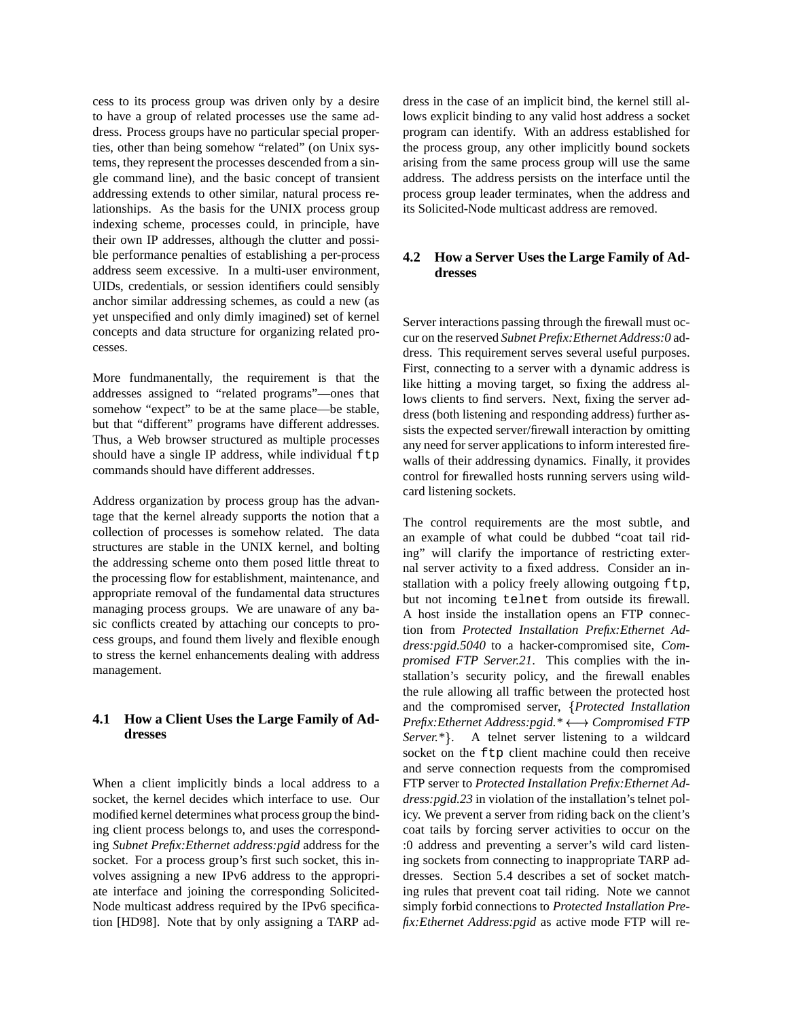cess to its process group was driven only by a desire to have a group of related processes use the same address. Process groups have no particular special properties, other than being somehow "related" (on Unix systems, they represent the processes descended from a single command line), and the basic concept of transient addressing extends to other similar, natural process relationships. As the basis for the UNIX process group indexing scheme, processes could, in principle, have their own IP addresses, although the clutter and possible performance penalties of establishing a per-process address seem excessive. In a multi-user environment, UIDs, credentials, or session identifiers could sensibly anchor similar addressing schemes, as could a new (as yet unspecified and only dimly imagined) set of kernel concepts and data structure for organizing related processes.

More fundmanentally, the requirement is that the addresses assigned to "related programs"—ones that somehow "expect" to be at the same place—be stable, but that "different" programs have different addresses. Thus, a Web browser structured as multiple processes should have a single IP address, while individual  $f$ tp commands should have different addresses.

Address organization by process group has the advantage that the kernel already supports the notion that a collection of processes is somehow related. The data structures are stable in the UNIX kernel, and bolting the addressing scheme onto them posed little threat to the processing flow for establishment, maintenance, and appropriate removal of the fundamental data structures managing process groups. We are unaware of any basic conflicts created by attaching our concepts to process groups, and found them lively and flexible enough to stress the kernel enhancements dealing with address management.

## **4.1 How a Client Uses the Large Family of Addresses**

When a client implicitly binds a local address to a socket, the kernel decides which interface to use. Our modified kernel determines what process group the binding client process belongs to, and uses the corresponding *Subnet Prefix:Ethernet address:pgid* address for the socket. For a process group's first such socket, this involves assigning a new IPv6 address to the appropriate interface and joining the corresponding Solicited-Node multicast address required by the IPv6 specification [HD98]. Note that by only assigning a TARP address in the case of an implicit bind, the kernel still allows explicit binding to any valid host address a socket program can identify. With an address established for the process group, any other implicitly bound sockets arising from the same process group will use the same address. The address persists on the interface until the process group leader terminates, when the address and its Solicited-Node multicast address are removed.

## **4.2 How a Server Uses the Large Family of Addresses**

Server interactions passing through the firewall must occur on the reserved *Subnet Prefix:Ethernet Address:0* address. This requirement serves several useful purposes. First, connecting to a server with a dynamic address is like hitting a moving target, so fixing the address allows clients to find servers. Next, fixing the server address (both listening and responding address) further assists the expected server/firewall interaction by omitting any need for server applications to inform interested firewalls of their addressing dynamics. Finally, it provides control for firewalled hosts running servers using wildcard listening sockets.

The control requirements are the most subtle, and an example of what could be dubbed "coat tail riding" will clarify the importance of restricting external server activity to a fixed address. Consider an installation with a policy freely allowing outgoing ftp, but not incoming telnet from outside its firewall. A host inside the installation opens an FTP connection from *Protected Installation Prefix:Ethernet Address:pgid.5040* to a hacker-compromised site, *Compromised FTP Server.21*. This complies with the installation's security policy, and the firewall enables the rule allowing all traffic between the protected host and the compromised server, *Protected Installation Prefix:Ethernet Address:pgid.\** - *Compromised FTP Server.*\*}. A telnet server listening to a wildcard socket on the ftp client machine could then receive and serve connection requests from the compromised FTP server to *Protected Installation Prefix:Ethernet Address:pgid.23* in violation of the installation's telnet policy. We prevent a server from riding back on the client's coat tails by forcing server activities to occur on the :0 address and preventing a server's wild card listening sockets from connecting to inappropriate TARP addresses. Section 5.4 describes a set of socket matching rules that prevent coat tail riding. Note we cannot simply forbid connections to *Protected Installation Prefix:Ethernet Address:pgid* as active mode FTP will re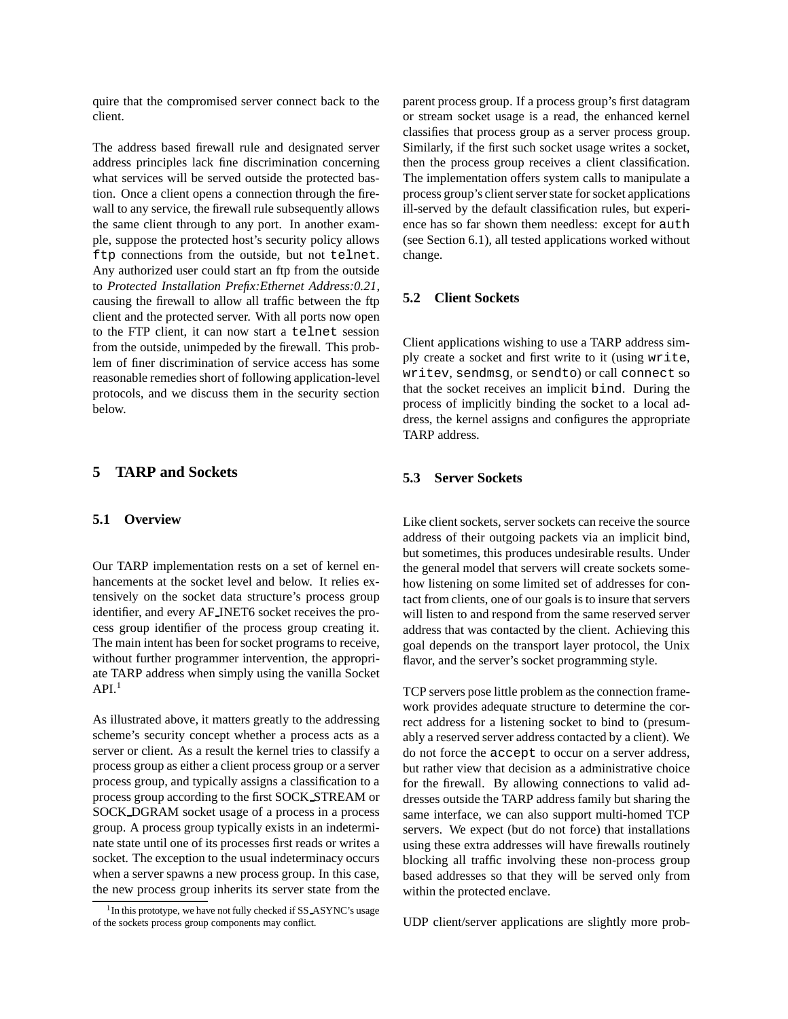quire that the compromised server connect back to the client.

The address based firewall rule and designated server address principles lack fine discrimination concerning what services will be served outside the protected bastion. Once a client opens a connection through the firewall to any service, the firewall rule subsequently allows the same client through to any port. In another example, suppose the protected host's security policy allows ftp connections from the outside, but not telnet. Any authorized user could start an ftp from the outside to *Protected Installation Prefix:Ethernet Address:0.21*, causing the firewall to allow all traffic between the ftp client and the protected server. With all ports now open to the FTP client, it can now start a telnet session from the outside, unimpeded by the firewall. This problem of finer discrimination of service access has some reasonable remedies short of following application-level protocols, and we discuss them in the security section below.

#### **5 TARP and Sockets**

#### **5.1 Overview**

Our TARP implementation rests on a set of kernel enhancements at the socket level and below. It relies extensively on the socket data structure's process group identifier, and every AF INET6 socket receives the process group identifier of the process group creating it. The main intent has been for socket programs to receive, without further programmer intervention, the appropriate TARP address when simply using the vanilla Socket  $API<sup>1</sup>$ 

As illustrated above, it matters greatly to the addressing scheme's security concept whether a process acts as a server or client. As a result the kernel tries to classify a process group as either a client process group or a server process group, and typically assigns a classification to a process group according to the first SOCK STREAM or SOCK DGRAM socket usage of a process in a process group. A process group typically exists in an indeterminate state until one of its processes first reads or writes a socket. The exception to the usual indeterminacy occurs when a server spawns a new process group. In this case, the new process group inherits its server state from the parent process group. If a process group's first datagram or stream socket usage is a read, the enhanced kernel classifies that process group as a server process group. Similarly, if the first such socket usage writes a socket, then the process group receives a client classification. The implementation offers system calls to manipulate a process group's client serverstate forsocket applications ill-served by the default classification rules, but experience has so far shown them needless: except for auth (see Section 6.1), all tested applications worked without change.

#### **5.2 Client Sockets**

Client applications wishing to use a TARP address simply create a socket and first write to it (using write, writev, sendmsg, or sendto) or call connect so that the socket receives an implicit bind. During the process of implicitly binding the socket to a local address, the kernel assigns and configures the appropriate TARP address.

#### **5.3 Server Sockets**

Like client sockets, server sockets can receive the source address of their outgoing packets via an implicit bind, but sometimes, this produces undesirable results. Under the general model that servers will create sockets somehow listening on some limited set of addresses for contact from clients, one of our goals is to insure that servers will listen to and respond from the same reserved server address that was contacted by the client. Achieving this goal depends on the transport layer protocol, the Unix flavor, and the server's socket programming style.

TCP servers pose little problem as the connection framework provides adequate structure to determine the correct address for a listening socket to bind to (presumably a reserved server address contacted by a client). We do not force the accept to occur on a server address, but rather view that decision as a administrative choice for the firewall. By allowing connections to valid addresses outside the TARP address family but sharing the same interface, we can also support multi-homed TCP servers. We expect (but do not force) that installations using these extra addresses will have firewalls routinely blocking all traffic involving these non-process group based addresses so that they will be served only from within the protected enclave.

UDP client/server applications are slightly more prob-

<sup>&</sup>lt;sup>1</sup> In this prototype, we have not fully checked if SS\_ASYNC's usage of the sockets process group components may conflict.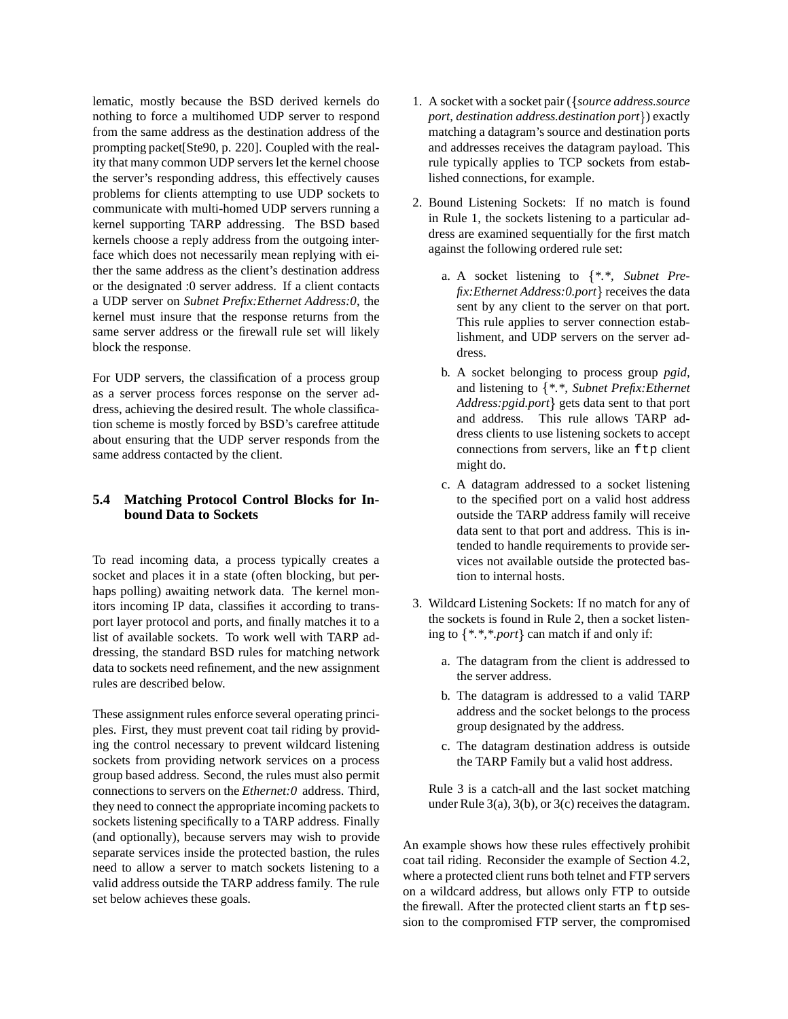lematic, mostly because the BSD derived kernels do nothing to force a multihomed UDP server to respond from the same address as the destination address of the prompting packet[Ste90, p. 220]. Coupled with the reality that many common UDP servers let the kernel choose the server's responding address, this effectively causes problems for clients attempting to use UDP sockets to communicate with multi-homed UDP servers running a kernel supporting TARP addressing. The BSD based kernels choose a reply address from the outgoing interface which does not necessarily mean replying with either the same address as the client's destination address or the designated :0 server address. If a client contacts a UDP server on *Subnet Prefix:Ethernet Address:0*, the kernel must insure that the response returns from the same server address or the firewall rule set will likely block the response.

For UDP servers, the classification of a process group as a server process forces response on the server address, achieving the desired result. The whole classification scheme is mostly forced by BSD's carefree attitude about ensuring that the UDP server responds from the same address contacted by the client.

## **5.4 Matching Protocol Control Blocks for Inbound Data to Sockets**

To read incoming data, a process typically creates a socket and places it in a state (often blocking, but perhaps polling) awaiting network data. The kernel monitors incoming IP data, classifies it according to transport layer protocol and ports, and finally matches it to a list of available sockets. To work well with TARP addressing, the standard BSD rules for matching network data to sockets need refinement, and the new assignment rules are described below.

These assignment rules enforce several operating principles. First, they must prevent coat tail riding by providing the control necessary to prevent wildcard listening sockets from providing network services on a process group based address. Second, the rules must also permit connections to servers on the *Ethernet:0* address. Third, they need to connect the appropriate incoming packets to sockets listening specifically to a TARP address. Finally (and optionally), because servers may wish to provide separate services inside the protected bastion, the rules need to allow a server to match sockets listening to a valid address outside the TARP address family. The rule set below achieves these goals.

- 1. A socket with a socket pair ( *source address.source port, destination address.destination port* ) exactly matching a datagram's source and destination ports and addresses receives the datagram payload. This rule typically applies to TCP sockets from established connections, for example.
- 2. Bound Listening Sockets: If no match is found in Rule 1, the sockets listening to a particular address are examined sequentially for the first match against the following ordered rule set:
	- a. A socket listening to *\*.\*, Subnet Prefix: Ethernet Address: 0.port* } receives the data sent by any client to the server on that port. This rule applies to server connection establishment, and UDP servers on the server address.
	- b. A socket belonging to process group *pgid*, and listening to *\*.\*, Subnet Prefix:Ethernet* Address: pgid.port} gets data sent to that port and address. This rule allows TARP address clients to use listening sockets to accept connections from servers, like an ftp client might do.
	- c. A datagram addressed to a socket listening to the specified port on a valid host address outside the TARP address family will receive data sent to that port and address. This is intended to handle requirements to provide services not available outside the protected bastion to internal hosts.
- 3. Wildcard Listening Sockets: If no match for any of the sockets is found in Rule 2, then a socket listening to  $\{*,*, *.port\}$  can match if and only if:
	- a. The datagram from the client is addressed to the server address.
	- b. The datagram is addressed to a valid TARP address and the socket belongs to the process group designated by the address.
	- c. The datagram destination address is outside the TARP Family but a valid host address.

Rule 3 is a catch-all and the last socket matching under Rule  $3(a)$ ,  $3(b)$ , or  $3(c)$  receives the datagram.

An example shows how these rules effectively prohibit coat tail riding. Reconsider the example of Section 4.2, where a protected client runs both telnet and FTP servers on a wildcard address, but allows only FTP to outside the firewall. After the protected client starts an  $ftp$  session to the compromised FTP server, the compromised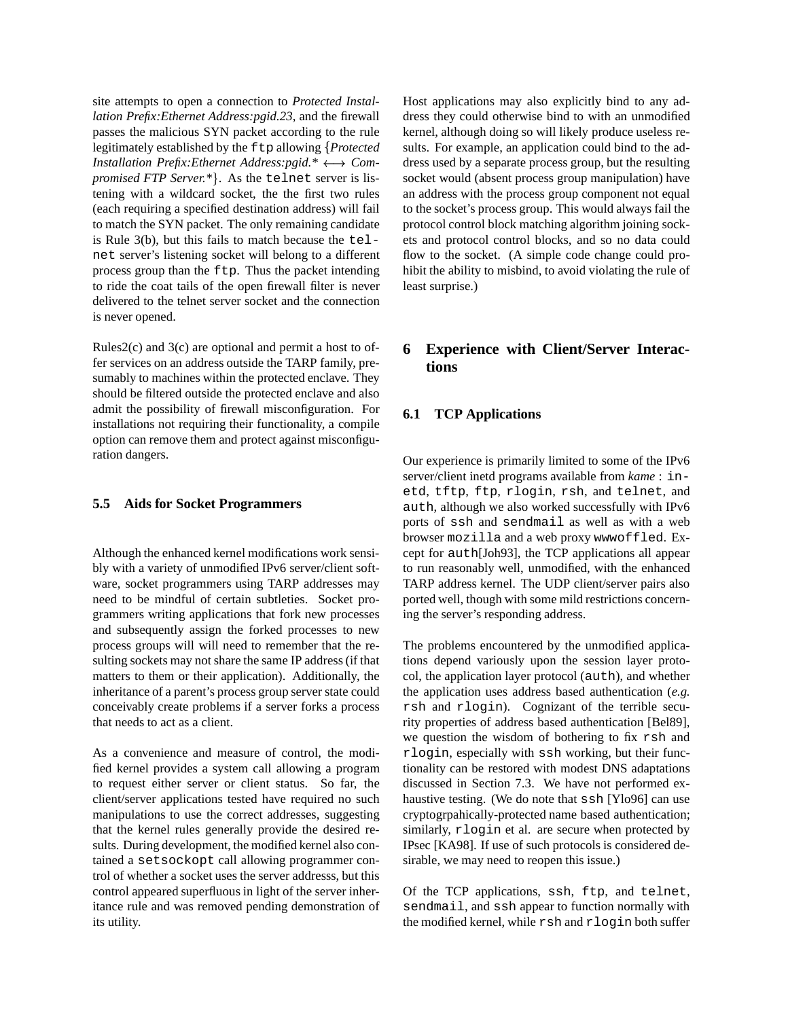site attempts to open a connection to *Protected Installation Prefix:Ethernet Address:pgid.23*, and the firewall passes the malicious SYN packet according to the rule legitimately established by the ftp allowing *Protected Installation Prefix: Ethernet Address: pgid.\**  $\longleftrightarrow$  *Compromised FTP Server.\** . As the telnet server is listening with a wildcard socket, the the first two rules (each requiring a specified destination address) will fail to match the SYN packet. The only remaining candidate is Rule  $3(b)$ , but this fails to match because the telnet server's listening socket will belong to a different process group than the ftp. Thus the packet intending to ride the coat tails of the open firewall filter is never delivered to the telnet server socket and the connection is never opened.

Rules $2(c)$  and  $3(c)$  are optional and permit a host to offer services on an address outside the TARP family, presumably to machines within the protected enclave. They should be filtered outside the protected enclave and also admit the possibility of firewall misconfiguration. For installations not requiring their functionality, a compile option can remove them and protect against misconfiguration dangers.

#### **5.5 Aids for Socket Programmers**

Although the enhanced kernel modifications work sensibly with a variety of unmodified IPv6 server/client software, socket programmers using TARP addresses may need to be mindful of certain subtleties. Socket programmers writing applications that fork new processes and subsequently assign the forked processes to new process groups will will need to remember that the resulting sockets may not share the same IP address (if that matters to them or their application). Additionally, the inheritance of a parent's process group server state could conceivably create problems if a server forks a process that needs to act as a client.

As a convenience and measure of control, the modified kernel provides a system call allowing a program to request either server or client status. So far, the client/server applications tested have required no such manipulations to use the correct addresses, suggesting that the kernel rules generally provide the desired results. During development, the modified kernel also contained a setsockopt call allowing programmer control of whether a socket uses the server addresss, but this control appeared superfluous in light of the server inheritance rule and was removed pending demonstration of its utility.

 *Com-*dress used by a separate process group, but the resulting Host applications may also explicitly bind to any address they could otherwise bind to with an unmodified kernel, although doing so will likely produce useless results. For example, an application could bind to the adsocket would (absent process group manipulation) have an address with the process group component not equal to the socket's process group. This would always fail the protocol control block matching algorithm joining sockets and protocol control blocks, and so no data could flow to the socket. (A simple code change could prohibit the ability to misbind, to avoid violating the rule of least surprise.)

# **6 Experience with Client/Server Interactions**

#### **6.1 TCP Applications**

Our experience is primarily limited to some of the IPv6 server/client inetd programs available from *kame* : inetd, tftp, ftp, rlogin, rsh, and telnet, and auth, although we also worked successfully with IPv6 ports of ssh and sendmail as well as with a web browser mozilla and a web proxy wwwoffled. Except for auth[Joh93], the TCP applications all appear to run reasonably well, unmodified, with the enhanced TARP address kernel. The UDP client/server pairs also ported well, though with some mild restrictions concerning the server's responding address.

The problems encountered by the unmodified applications depend variously upon the session layer protocol, the application layer protocol (auth), and whether the application uses address based authentication (*e.g.* rsh and rlogin). Cognizant of the terrible security properties of address based authentication [Bel89], we question the wisdom of bothering to fix rsh and rlogin, especially with ssh working, but their functionality can be restored with modest DNS adaptations discussed in Section 7.3. We have not performed exhaustive testing. (We do note that ssh [Ylo96] can use cryptogrpahically-protected name based authentication; similarly, rlogin et al. are secure when protected by IPsec [KA98]. If use of such protocols is considered desirable, we may need to reopen this issue.)

Of the TCP applications, ssh, ftp, and telnet, sendmail, and ssh appear to function normally with the modified kernel, while rsh and rlogin both suffer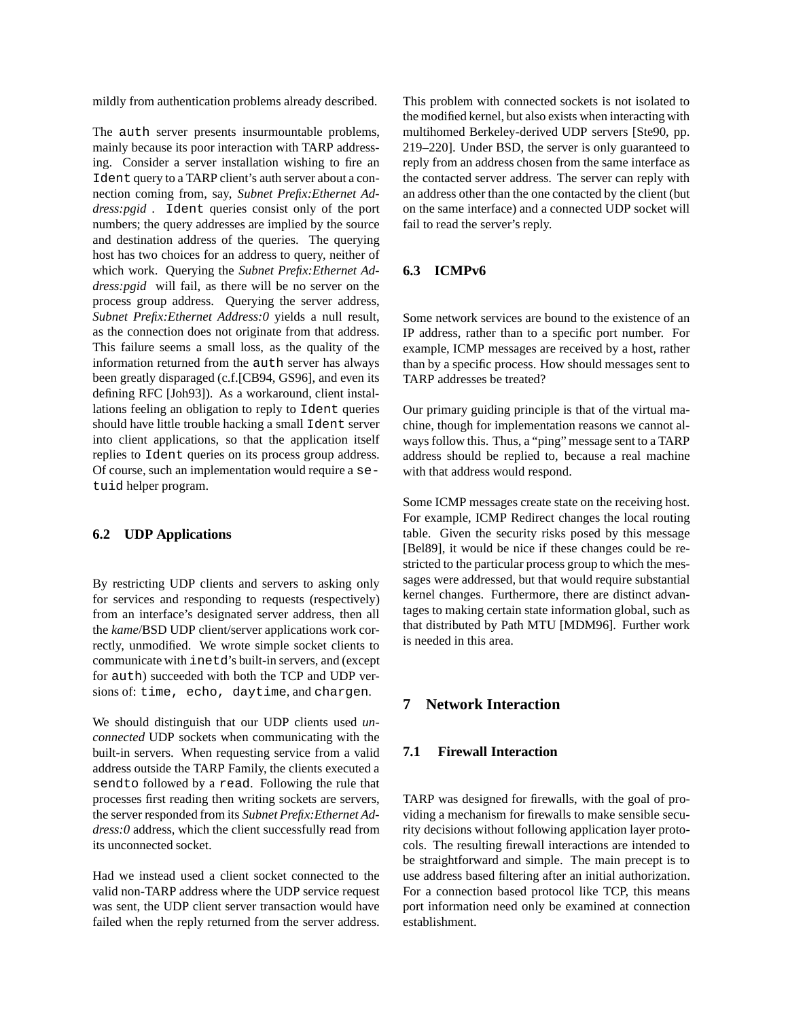mildly from authentication problems already described.

The auth server presents insurmountable problems, mainly because its poor interaction with TARP addressing. Consider a server installation wishing to fire an Ident query to a TARP client's auth server about a connection coming from, say, *Subnet Prefix:Ethernet Address:pgid* . Ident queries consist only of the port numbers; the query addresses are implied by the source and destination address of the queries. The querying host has two choices for an address to query, neither of which work. Querying the *Subnet Prefix:Ethernet Address:pgid* will fail, as there will be no server on the process group address. Querying the server address, *Subnet Prefix:Ethernet Address:0* yields a null result, as the connection does not originate from that address. This failure seems a small loss, as the quality of the information returned from the auth server has always been greatly disparaged (c.f.[CB94, GS96], and even its defining RFC [Joh93]). As a workaround, client installations feeling an obligation to reply to Ident queries should have little trouble hacking a small Ident server into client applications, so that the application itself replies to Ident queries on its process group address. Of course, such an implementation would require a setuid helper program.

#### **6.2 UDP Applications**

By restricting UDP clients and servers to asking only for services and responding to requests (respectively) from an interface's designated server address, then all the *kame*/BSD UDP client/server applications work correctly, unmodified. We wrote simple socket clients to communicate with inetd's built-in servers, and (except for auth) succeeded with both the TCP and UDP versions of: time, echo, daytime, and chargen.

We should distinguish that our UDP clients used *unconnected* UDP sockets when communicating with the built-in servers. When requesting service from a valid address outside the TARP Family, the clients executed a sendto followed by a read. Following the rule that processes first reading then writing sockets are servers, the server responded from its *Subnet Prefix:Ethernet Address:0* address, which the client successfully read from its unconnected socket.

Had we instead used a client socket connected to the valid non-TARP address where the UDP service request was sent, the UDP client server transaction would have failed when the reply returned from the server address.

This problem with connected sockets is not isolated to the modified kernel, but also exists when interacting with multihomed Berkeley-derived UDP servers [Ste90, pp. 219–220]. Under BSD, the server is only guaranteed to reply from an address chosen from the same interface as the contacted server address. The server can reply with an address other than the one contacted by the client (but on the same interface) and a connected UDP socket will fail to read the server's reply.

## **6.3 ICMPv6**

Some network services are bound to the existence of an IP address, rather than to a specific port number. For example, ICMP messages are received by a host, rather than by a specific process. How should messages sent to TARP addresses be treated?

Our primary guiding principle is that of the virtual machine, though for implementation reasons we cannot always follow this. Thus, a "ping" message sent to a TARP address should be replied to, because a real machine with that address would respond.

Some ICMP messages create state on the receiving host. For example, ICMP Redirect changes the local routing table. Given the security risks posed by this message [Bel89], it would be nice if these changes could be restricted to the particular process group to which the messages were addressed, but that would require substantial kernel changes. Furthermore, there are distinct advantages to making certain state information global, such as that distributed by Path MTU [MDM96]. Further work is needed in this area.

## **7 Network Interaction**

#### **7.1 Firewall Interaction**

TARP was designed for firewalls, with the goal of providing a mechanism for firewalls to make sensible security decisions without following application layer protocols. The resulting firewall interactions are intended to be straightforward and simple. The main precept is to use address based filtering after an initial authorization. For a connection based protocol like TCP, this means port information need only be examined at connection establishment.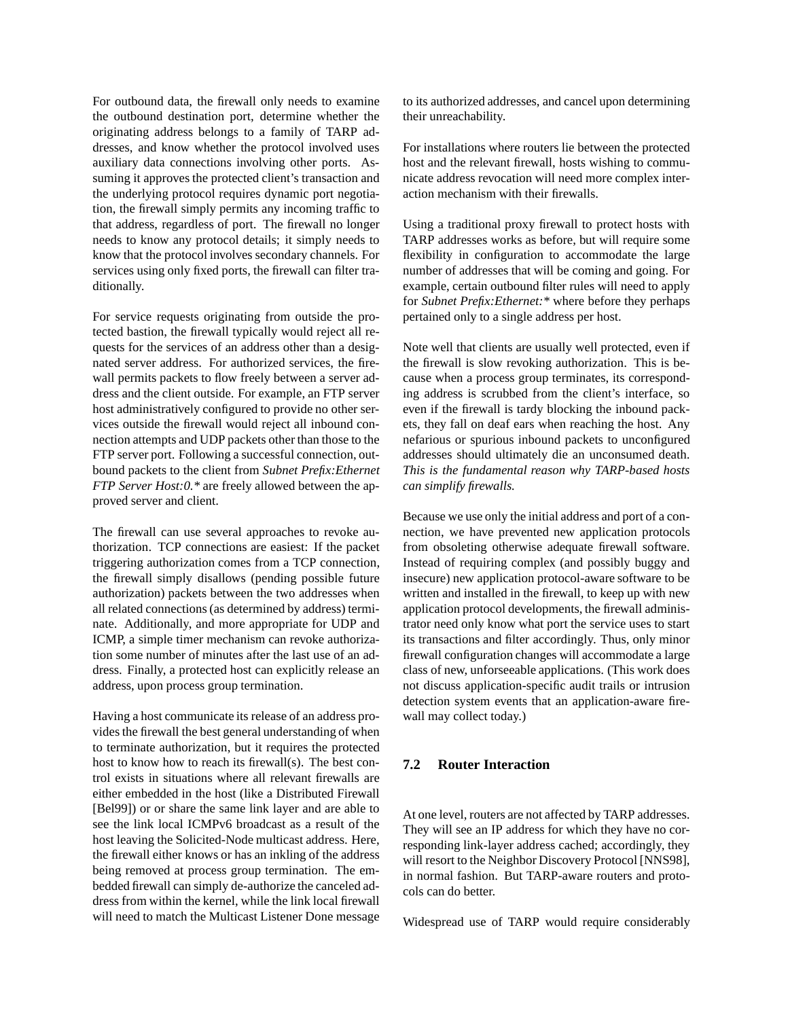For outbound data, the firewall only needs to examine the outbound destination port, determine whether the originating address belongs to a family of TARP addresses, and know whether the protocol involved uses auxiliary data connections involving other ports. Assuming it approves the protected client's transaction and the underlying protocol requires dynamic port negotiation, the firewall simply permits any incoming traffic to that address, regardless of port. The firewall no longer needs to know any protocol details; it simply needs to know that the protocol involves secondary channels. For services using only fixed ports, the firewall can filter traditionally.

For service requests originating from outside the protected bastion, the firewall typically would reject all requests for the services of an address other than a designated server address. For authorized services, the firewall permits packets to flow freely between a server address and the client outside. For example, an FTP server host administratively configured to provide no other services outside the firewall would reject all inbound connection attempts and UDP packets other than those to the FTP server port. Following a successful connection, outbound packets to the client from *Subnet Prefix:Ethernet FTP Server Host:0.\** are freely allowed between the approved server and client.

The firewall can use several approaches to revoke authorization. TCP connections are easiest: If the packet triggering authorization comes from a TCP connection, the firewall simply disallows (pending possible future authorization) packets between the two addresses when all related connections(as determined by address) terminate. Additionally, and more appropriate for UDP and ICMP, a simple timer mechanism can revoke authorization some number of minutes after the last use of an address. Finally, a protected host can explicitly release an address, upon process group termination.

Having a host communicate its release of an address provides the firewall the best general understanding of when to terminate authorization, but it requires the protected host to know how to reach its firewall(s). The best control exists in situations where all relevant firewalls are either embedded in the host (like a Distributed Firewall [Bel99]) or or share the same link layer and are able to see the link local ICMPv6 broadcast as a result of the host leaving the Solicited-Node multicast address. Here, the firewall either knows or has an inkling of the address being removed at process group termination. The embedded firewall can simply de-authorize the canceled address from within the kernel, while the link local firewall will need to match the Multicast Listener Done message to its authorized addresses, and cancel upon determining their unreachability.

For installations where routers lie between the protected host and the relevant firewall, hosts wishing to communicate address revocation will need more complex interaction mechanism with their firewalls.

Using a traditional proxy firewall to protect hosts with TARP addresses works as before, but will require some flexibility in configuration to accommodate the large number of addresses that will be coming and going. For example, certain outbound filter rules will need to apply for *Subnet Prefix:Ethernet:\** where before they perhaps pertained only to a single address per host.

Note well that clients are usually well protected, even if the firewall is slow revoking authorization. This is because when a process group terminates, its corresponding address is scrubbed from the client's interface, so even if the firewall is tardy blocking the inbound packets, they fall on deaf ears when reaching the host. Any nefarious or spurious inbound packets to unconfigured addresses should ultimately die an unconsumed death. *This is the fundamental reason why TARP-based hosts can simplify firewalls.*

Because we use only the initial address and port of a connection, we have prevented new application protocols from obsoleting otherwise adequate firewall software. Instead of requiring complex (and possibly buggy and insecure) new application protocol-aware software to be written and installed in the firewall, to keep up with new application protocol developments, the firewall administrator need only know what port the service uses to start its transactions and filter accordingly. Thus, only minor firewall configuration changes will accommodate a large class of new, unforseeable applications. (This work does not discuss application-specific audit trails or intrusion detection system events that an application-aware firewall may collect today.)

# **7.2 Router Interaction**

At one level, routers are not affected by TARP addresses. They will see an IP address for which they have no corresponding link-layer address cached; accordingly, they will resort to the Neighbor Discovery Protocol [NNS98], in normal fashion. But TARP-aware routers and protocols can do better.

Widespread use of TARP would require considerably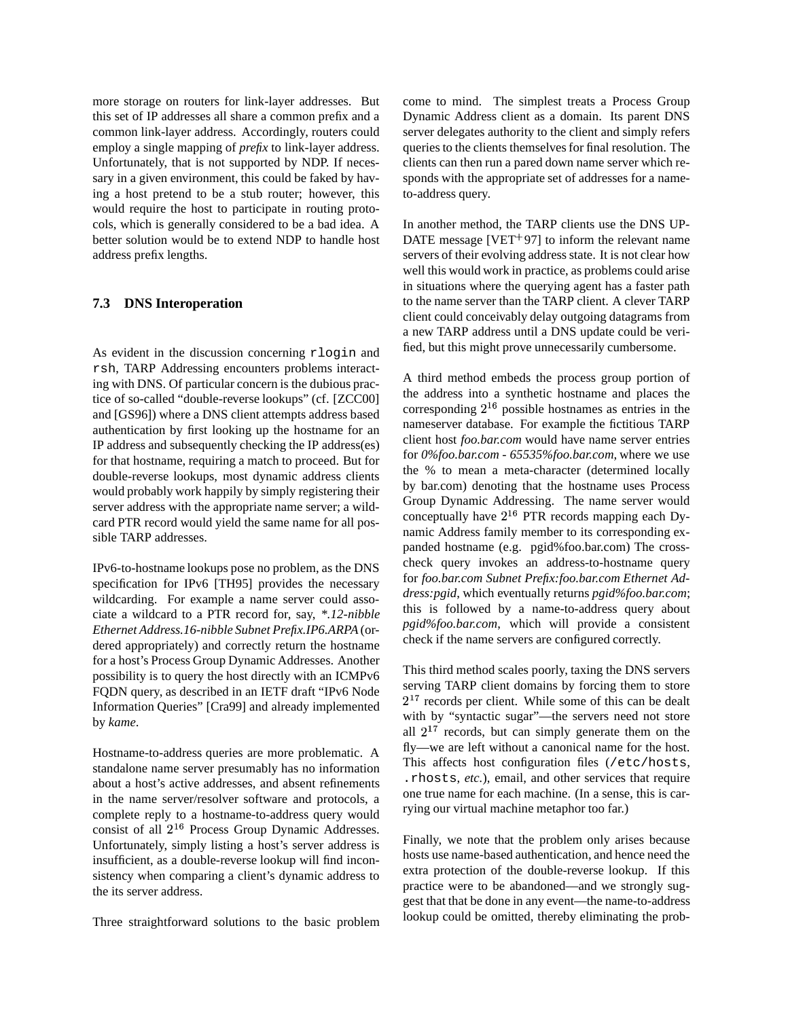more storage on routers for link-layer addresses. But this set of IP addresses all share a common prefix and a common link-layer address. Accordingly, routers could employ a single mapping of *prefix* to link-layer address. Unfortunately, that is not supported by NDP. If necessary in a given environment, this could be faked by having a host pretend to be a stub router; however, this would require the host to participate in routing protocols, which is generally considered to be a bad idea. A better solution would be to extend NDP to handle host address prefix lengths.

## **7.3 DNS Interoperation**

As evident in the discussion concerning rlogin and rsh, TARP Addressing encounters problems interacting with DNS. Of particular concern is the dubious practice of so-called "double-reverse lookups" (cf. [ZCC00] and [GS96]) where a DNS client attempts address based authentication by first looking up the hostname for an IP address and subsequently checking the IP address(es) for that hostname, requiring a match to proceed. But for double-reverse lookups, most dynamic address clients would probably work happily by simply registering their server address with the appropriate name server; a wildcard PTR record would yield the same name for all possible TARP addresses.

IPv6-to-hostname lookups pose no problem, as the DNS specification for IPv6 [TH95] provides the necessary wildcarding. For example a name server could associate a wildcard to a PTR record for, say, *\*.12-nibble Ethernet Address.16-nibble Subnet Prefix.IP6.ARPA* (ordered appropriately) and correctly return the hostname for a host's Process Group Dynamic Addresses. Another possibility is to query the host directly with an ICMPv6 FQDN query, as described in an IETF draft "IPv6 Node Information Queries" [Cra99] and already implemented by *kame*.

Hostname-to-address queries are more problematic. A standalone name server presumably has no information about a host's active addresses, and absent refinements in the name server/resolver software and protocols, a complete reply to a hostname-to-address query would consist of all  $2^{16}$  Process Group Dynamic Addresses. Unfortunately, simply listing a host's server address is insufficient, as a double-reverse lookup will find inconsistency when comparing a client's dynamic address to the its server address.

Three straightforward solutions to the basic problem

come to mind. The simplest treats a Process Group Dynamic Address client as a domain. Its parent DNS server delegates authority to the client and simply refers queries to the clients themselvesfor final resolution. The clients can then run a pared down name server which responds with the appropriate set of addresses for a nameto-address query.

In another method, the TARP clients use the DNS UP-DATE message [VET 97] to inform the relevant name servers of their evolving address state. It is not clear how well this would work in practice, as problems could arise in situations where the querying agent has a faster path to the name server than the TARP client. A clever TARP client could conceivably delay outgoing datagrams from a new TARP address until a DNS update could be verified, but this might prove unnecessarily cumbersome.

A third method embeds the process group portion of the address into a synthetic hostname and places the corresponding  $2^{16}$  possible hostnames as entries in the nameserver database. For example the fictitious TARP client host *foo.bar.com* would have name server entries for *0%foo.bar.com* - *65535%foo.bar.com*, where we use the % to mean a meta-character (determined locally by bar.com) denoting that the hostname uses Process Group Dynamic Addressing. The name server would conceptually have  $2^{16}$  PTR records mapping each Dynamic Address family member to its corresponding expanded hostname (e.g. pgid%foo.bar.com) The crosscheck query invokes an address-to-hostname query for *foo.bar.com Subnet Prefix:foo.bar.com Ethernet Address:pgid*, which eventually returns *pgid%foo.bar.com*; this is followed by a name-to-address query about *pgid%foo.bar.com*, which will provide a consistent check if the name servers are configured correctly.

This third method scales poorly, taxing the DNS servers serving TARP client domains by forcing them to store  $2<sup>17</sup>$  records per client. While some of this can be dealt with by "syntactic sugar"—the servers need not store all  $2^{17}$  records, but can simply generate them on the fly—we are left without a canonical name for the host. This affects host configuration files (/etc/hosts, .rhosts, *etc.*), email, and other services that require one true name for each machine. (In a sense, this is carrying our virtual machine metaphor too far.)

Finally, we note that the problem only arises because hosts use name-based authentication, and hence need the extra protection of the double-reverse lookup. If this practice were to be abandoned—and we strongly suggest that that be done in any event—the name-to-address lookup could be omitted, thereby eliminating the prob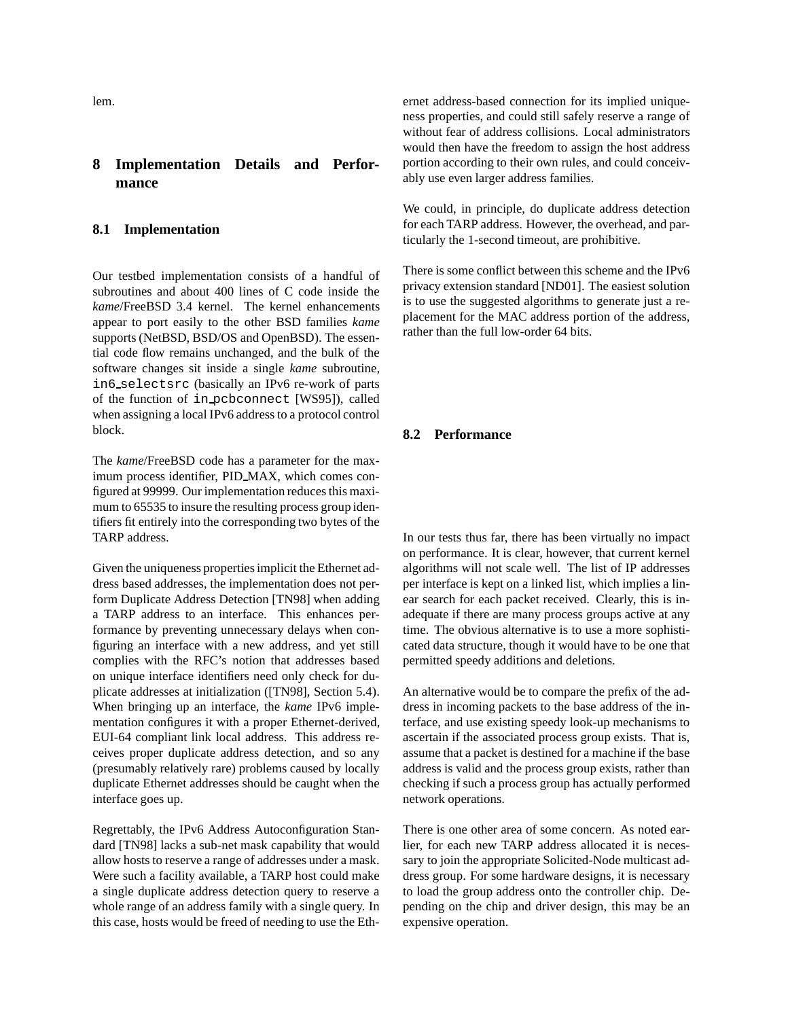lem.

# **8 Implementation Details and Performance**

#### **8.1 Implementation**

Our testbed implementation consists of a handful of subroutines and about 400 lines of C code inside the *kame*/FreeBSD 3.4 kernel. The kernel enhancements appear to port easily to the other BSD families *kame* supports (NetBSD, BSD/OS and OpenBSD). The essential code flow remains unchanged, and the bulk of the software changes sit inside a single *kame* subroutine, in6 selectsrc (basically an IPv6 re-work of parts of the function of in pcbconnect [WS95]), called when assigning a local IPv6 address to a protocol control block.

The *kame*/FreeBSD code has a parameter for the maximum process identifier, PID MAX, which comes configured at 99999. Our implementation reduces this maximum to 65535 to insure the resulting process group identifiers fit entirely into the corresponding two bytes of the TARP address.

Given the uniqueness properties implicit the Ethernet address based addresses, the implementation does not perform Duplicate Address Detection [TN98] when adding a TARP address to an interface. This enhances performance by preventing unnecessary delays when configuring an interface with a new address, and yet still complies with the RFC's notion that addresses based on unique interface identifiers need only check for duplicate addresses at initialization ([TN98], Section 5.4). When bringing up an interface, the *kame* IPv6 implementation configures it with a proper Ethernet-derived, EUI-64 compliant link local address. This address receives proper duplicate address detection, and so any (presumably relatively rare) problems caused by locally duplicate Ethernet addresses should be caught when the interface goes up.

Regrettably, the IPv6 Address Autoconfiguration Standard [TN98] lacks a sub-net mask capability that would allow hosts to reserve a range of addresses under a mask. Were such a facility available, a TARP host could make a single duplicate address detection query to reserve a whole range of an address family with a single query. In this case, hosts would be freed of needing to use the Ethernet address-based connection for its implied uniqueness properties, and could still safely reserve a range of without fear of address collisions. Local administrators would then have the freedom to assign the host address portion according to their own rules, and could conceivably use even larger address families.

We could, in principle, do duplicate address detection for each TARP address. However, the overhead, and particularly the 1-second timeout, are prohibitive.

There is some conflict between this scheme and the IPv6 privacy extension standard [ND01]. The easiest solution is to use the suggested algorithms to generate just a replacement for the MAC address portion of the address, rather than the full low-order 64 bits.

#### **8.2 Performance**

In our tests thus far, there has been virtually no impact on performance. It is clear, however, that current kernel algorithms will not scale well. The list of IP addresses per interface is kept on a linked list, which implies a linear search for each packet received. Clearly, this is inadequate if there are many process groups active at any time. The obvious alternative is to use a more sophisticated data structure, though it would have to be one that permitted speedy additions and deletions.

An alternative would be to compare the prefix of the address in incoming packets to the base address of the interface, and use existing speedy look-up mechanisms to ascertain if the associated process group exists. That is, assume that a packet is destined for a machine if the base address is valid and the process group exists, rather than checking if such a process group has actually performed network operations.

There is one other area of some concern. As noted earlier, for each new TARP address allocated it is necessary to join the appropriate Solicited-Node multicast address group. For some hardware designs, it is necessary to load the group address onto the controller chip. Depending on the chip and driver design, this may be an expensive operation.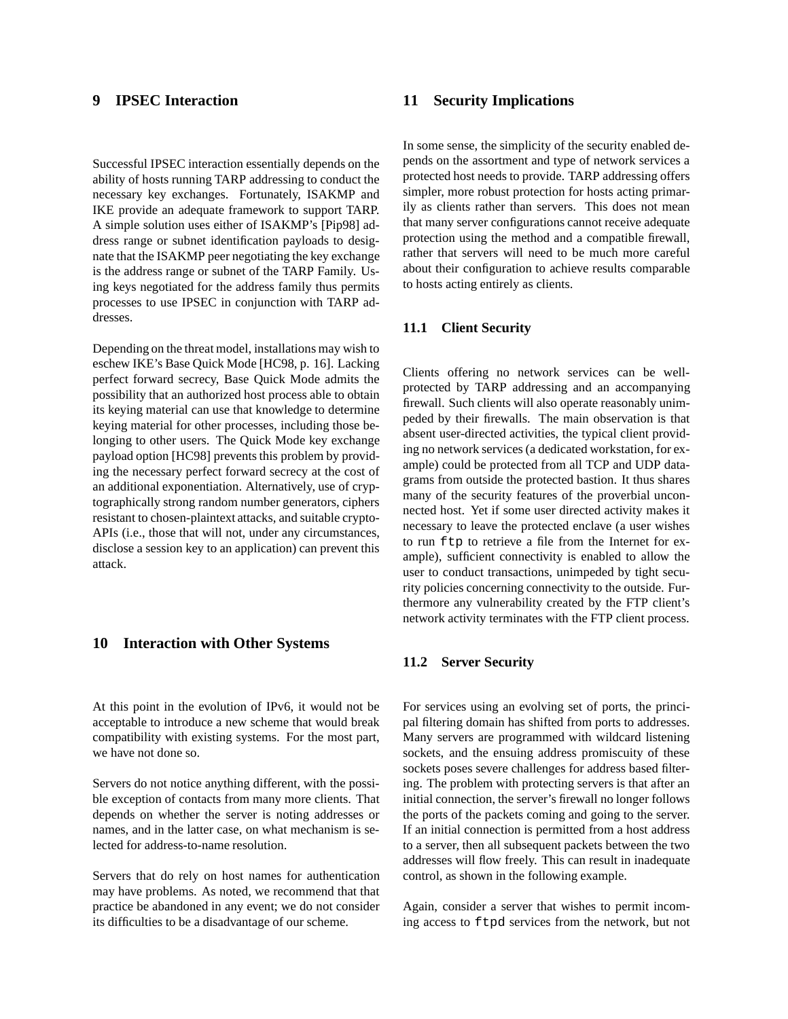# **9 IPSEC Interaction**

Successful IPSEC interaction essentially depends on the ability of hosts running TARP addressing to conduct the necessary key exchanges. Fortunately, ISAKMP and IKE provide an adequate framework to support TARP. A simple solution uses either of ISAKMP's [Pip98] address range or subnet identification payloads to designate that the ISAKMP peer negotiating the key exchange is the address range or subnet of the TARP Family. Using keys negotiated for the address family thus permits processes to use IPSEC in conjunction with TARP addresses.

Depending on the threat model, installations may wish to eschew IKE's Base Quick Mode [HC98, p. 16]. Lacking perfect forward secrecy, Base Quick Mode admits the possibility that an authorized host process able to obtain its keying material can use that knowledge to determine keying material for other processes, including those belonging to other users. The Quick Mode key exchange payload option [HC98] prevents this problem by providing the necessary perfect forward secrecy at the cost of an additional exponentiation. Alternatively, use of cryptographically strong random number generators, ciphers resistant to chosen-plaintext attacks, and suitable crypto-APIs (i.e., those that will not, under any circumstances, disclose a session key to an application) can prevent this attack.

# **10 Interaction with Other Systems**

At this point in the evolution of IPv6, it would not be acceptable to introduce a new scheme that would break compatibility with existing systems. For the most part, we have not done so.

Servers do not notice anything different, with the possible exception of contacts from many more clients. That depends on whether the server is noting addresses or names, and in the latter case, on what mechanism is selected for address-to-name resolution.

Servers that do rely on host names for authentication may have problems. As noted, we recommend that that practice be abandoned in any event; we do not consider its difficulties to be a disadvantage of our scheme.

## **11 Security Implications**

In some sense, the simplicity of the security enabled depends on the assortment and type of network services a protected host needs to provide. TARP addressing offers simpler, more robust protection for hosts acting primarily as clients rather than servers. This does not mean that many server configurations cannot receive adequate protection using the method and a compatible firewall, rather that servers will need to be much more careful about their configuration to achieve results comparable to hosts acting entirely as clients.

## **11.1 Client Security**

Clients offering no network services can be wellprotected by TARP addressing and an accompanying firewall. Such clients will also operate reasonably unimpeded by their firewalls. The main observation is that absent user-directed activities, the typical client providing no network services (a dedicated workstation, for example) could be protected from all TCP and UDP datagrams from outside the protected bastion. It thus shares many of the security features of the proverbial unconnected host. Yet if some user directed activity makes it necessary to leave the protected enclave (a user wishes to run ftp to retrieve a file from the Internet for example), sufficient connectivity is enabled to allow the user to conduct transactions, unimpeded by tight security policies concerning connectivity to the outside. Furthermore any vulnerability created by the FTP client's network activity terminates with the FTP client process.

#### **11.2 Server Security**

For services using an evolving set of ports, the principal filtering domain has shifted from ports to addresses. Many servers are programmed with wildcard listening sockets, and the ensuing address promiscuity of these sockets poses severe challenges for address based filtering. The problem with protecting servers is that after an initial connection, the server's firewall no longer follows the ports of the packets coming and going to the server. If an initial connection is permitted from a host address to a server, then all subsequent packets between the two addresses will flow freely. This can result in inadequate control, as shown in the following example.

Again, consider a server that wishes to permit incoming access to ftpd services from the network, but not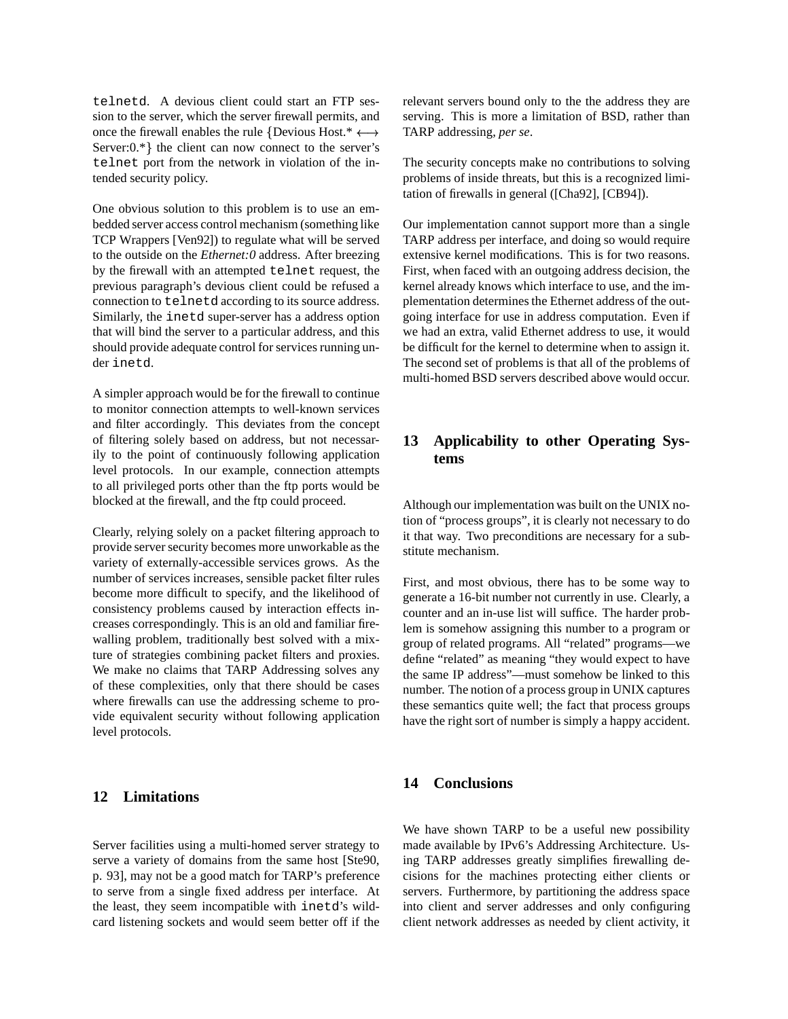telnetd. A devious client could start an FTP session to the server, which the server firewall permits, and once the firewall enables the rule {Devious Host.\*  $\leftarrow$ Server: $0.*$  the client can now connect to the server's telnet port from the network in violation of the intended security policy.

One obvious solution to this problem is to use an embedded server access control mechanism (something like TCP Wrappers [Ven92]) to regulate what will be served to the outside on the *Ethernet:0* address. After breezing by the firewall with an attempted telnet request, the previous paragraph's devious client could be refused a connection to telnetd according to its source address. Similarly, the inetd super-server has a address option that will bind the server to a particular address, and this should provide adequate control for services running under inetd.

A simpler approach would be for the firewall to continue to monitor connection attempts to well-known services and filter accordingly. This deviates from the concept of filtering solely based on address, but not necessarily to the point of continuously following application level protocols. In our example, connection attempts to all privileged ports other than the ftp ports would be blocked at the firewall, and the ftp could proceed.

Clearly, relying solely on a packet filtering approach to provide server security becomes more unworkable as the variety of externally-accessible services grows. As the number of services increases, sensible packet filter rules become more difficult to specify, and the likelihood of consistency problems caused by interaction effects increases correspondingly. This is an old and familiar firewalling problem, traditionally best solved with a mixture of strategies combining packet filters and proxies. We make no claims that TARP Addressing solves any of these complexities, only that there should be cases where firewalls can use the addressing scheme to provide equivalent security without following application level protocols.

## **12 Limitations**

Server facilities using a multi-homed server strategy to serve a variety of domains from the same host [Ste90, p. 93], may not be a good match for TARP's preference to serve from a single fixed address per interface. At the least, they seem incompatible with inetd's wildcard listening sockets and would seem better off if the

 TARP addressing, *per se*. relevant servers bound only to the the address they are serving. This is more a limitation of BSD, rather than

The security concepts make no contributions to solving problems of inside threats, but this is a recognized limitation of firewalls in general ([Cha92], [CB94]).

Our implementation cannot support more than a single TARP address per interface, and doing so would require extensive kernel modifications. This is for two reasons. First, when faced with an outgoing address decision, the kernel already knows which interface to use, and the implementation determines the Ethernet address of the outgoing interface for use in address computation. Even if we had an extra, valid Ethernet address to use, it would be difficult for the kernel to determine when to assign it. The second set of problems is that all of the problems of multi-homed BSD servers described above would occur.

# **13 Applicability to other Operating Systems**

Although our implementation was built on the UNIX notion of "process groups", it is clearly not necessary to do it that way. Two preconditions are necessary for a substitute mechanism.

First, and most obvious, there has to be some way to generate a 16-bit number not currently in use. Clearly, a counter and an in-use list will suffice. The harder problem is somehow assigning this number to a program or group of related programs. All "related" programs—we define "related" as meaning "they would expect to have the same IP address"—must somehow be linked to this number. The notion of a process group in UNIX captures these semantics quite well; the fact that process groups have the right sort of number is simply a happy accident.

#### **14 Conclusions**

We have shown TARP to be a useful new possibility made available by IPv6's Addressing Architecture. Using TARP addresses greatly simplifies firewalling decisions for the machines protecting either clients or servers. Furthermore, by partitioning the address space into client and server addresses and only configuring client network addresses as needed by client activity, it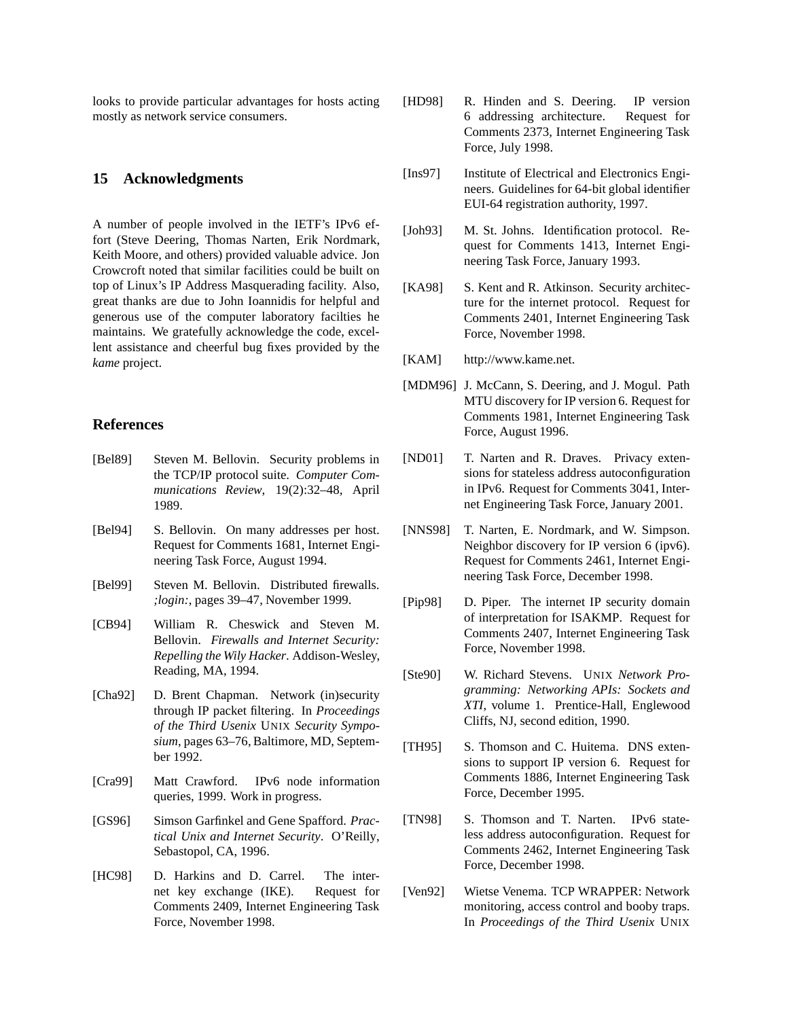looks to provide particular advantages for hosts acting mostly as network service consumers.

#### **15 Acknowledgments**

A number of people involved in the IETF's IPv6 effort (Steve Deering, Thomas Narten, Erik Nordmark, Keith Moore, and others) provided valuable advice. Jon Crowcroft noted that similar facilities could be built on top of Linux's IP Address Masquerading facility. Also, great thanks are due to John Ioannidis for helpful and generous use of the computer laboratory facilties he maintains. We gratefully acknowledge the code, excellent assistance and cheerful bug fixes provided by the *kame* project.

#### **References**

- [Bel89] Steven M. Bellovin. Security problems in the TCP/IP protocol suite. *Computer Communications Review*, 19(2):32–48, April 1989.
- [Bel94] S. Bellovin. On many addresses per host. Request for Comments 1681, Internet Engineering Task Force, August 1994.
- [Bel99] Steven M. Bellovin. Distributed firewalls. *;login:*, pages 39–47, November 1999.
- [CB94] William R. Cheswick and Steven M. Bellovin. *Firewalls and Internet Security: Repelling the Wily Hacker*. Addison-Wesley, Reading, MA, 1994.
- [Cha92] D. Brent Chapman. Network (in)security through IP packet filtering. In *Proceedings of the Third Usenix* UNIX *Security Symposium*, pages 63–76, Baltimore, MD, September 1992.
- [Cra99] Matt Crawford. IPv6 node information queries, 1999. Work in progress.
- [GS96] Simson Garfinkel and Gene Spafford. *Practical Unix and Internet Security*. O'Reilly, Sebastopol, CA, 1996.
- [HC98] D. Harkins and D. Carrel. The internet key exchange (IKE). Request for Comments 2409, Internet Engineering Task Force, November 1998.
- [HD98] R. Hinden and S. Deering. IP version 6 addressing architecture. Request for Comments 2373, Internet Engineering Task Force, July 1998.
- [Ins97] Institute of Electrical and Electronics Engineers. Guidelines for 64-bit global identifier EUI-64 registration authority, 1997.
- [Joh93] M. St. Johns. Identification protocol. Request for Comments 1413, Internet Engineering Task Force, January 1993.
- [KA98] S. Kent and R. Atkinson. Security architecture for the internet protocol. Request for Comments 2401, Internet Engineering Task Force, November 1998.
- [KAM] http://www.kame.net.
- [MDM96] J. McCann, S. Deering, and J. Mogul. Path MTU discovery for IP version 6. Request for Comments 1981, Internet Engineering Task Force, August 1996.
- [ND01] T. Narten and R. Draves. Privacy extensions for stateless address autoconfiguration in IPv6. Request for Comments 3041, Internet Engineering Task Force, January 2001.
- [NNS98] T. Narten, E. Nordmark, and W. Simpson. Neighbor discovery for IP version 6 (ipv6). Request for Comments 2461, Internet Engineering Task Force, December 1998.
- [Pip98] D. Piper. The internet IP security domain of interpretation for ISAKMP. Request for Comments 2407, Internet Engineering Task Force, November 1998.
- [Ste90] W. Richard Stevens. UNIX *Network Programming: Networking APIs: Sockets and XTI*, volume 1. Prentice-Hall, Englewood Cliffs, NJ, second edition, 1990.
- [TH95] S. Thomson and C. Huitema. DNS extensions to support IP version 6. Request for Comments 1886, Internet Engineering Task Force, December 1995.
- [TN98] S. Thomson and T. Narten. IPv6 stateless address autoconfiguration. Request for Comments 2462, Internet Engineering Task Force, December 1998.
- [Ven92] Wietse Venema. TCP WRAPPER: Network monitoring, access control and booby traps. In *Proceedings of the Third Usenix* UNIX